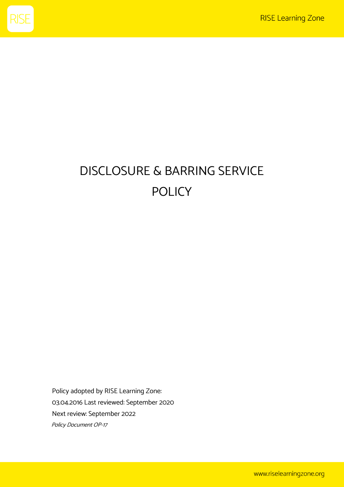

# DISCLOSURE & BARRING SERVICE POLICY

Policy adopted by RISE Learning Zone: 03.04.2016 Last reviewed: September 2020 Next review: September 2022 Policy Document OP-17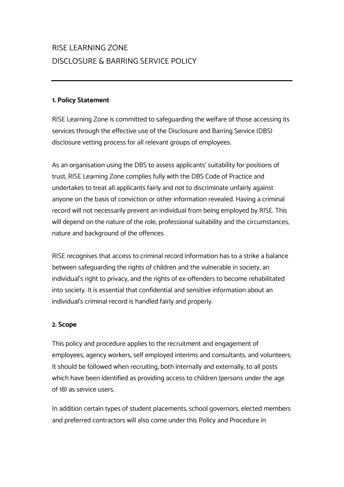# RISE LEARNING ZONE DISCLOSURE & BARRING SERVICE POLICY

# **1. Policy Statement**

RISE Learning Zone is committed to safeguarding the welfare of those accessing its services through the effective use of the Disclosure and Barring Service (DBS) disclosure vetting process for all relevant groups of employees.

As an organisation using the DBS to assess applicants' suitability for positions of trust, RISE Learning Zone complies fully with the DBS Code of Practice and undertakes to treat all applicants fairly and not to discriminate unfairly against anyone on the basis of conviction or other information revealed. Having a criminal record will not necessarily prevent an individual from being employed by RISE. This will depend on the nature of the role, professional suitability and the circumstances, nature and background of the offences.

RISE recognises that access to criminal record information has to a strike a balance between safeguarding the rights of children and the vulnerable in society, an individual's right to privacy, and the rights of ex-offenders to become rehabilitated into society. It is essential that confidential and sensitive information about an individual's criminal record is handled fairly and properly.

# **2. Scope**

This policy and procedure applies to the recruitment and engagement of employees, agency workers, self employed interims and consultants, and volunteers. It should be followed when recruiting, both internally and externally, to all posts which have been identified as providing access to children (persons under the age of 18) as service users.

In addition certain types of student placements, school governors, elected members and preferred contractors will also come under this Policy and Procedure in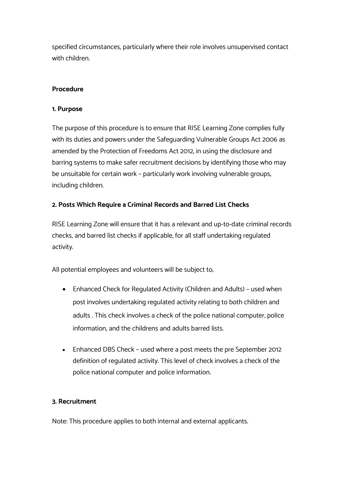specified circumstances, particularly where their role involves unsupervised contact with children.

### **Procedure**

#### **1. Purpose**

The purpose of this procedure is to ensure that RISE Learning Zone complies fully with its duties and powers under the Safeguarding Vulnerable Groups Act 2006 as amended by the Protection of Freedoms Act 2012, in using the disclosure and barring systems to make safer recruitment decisions by identifying those who may be unsuitable for certain work – particularly work involving vulnerable groups, including children.

### **2. Posts Which Require a Criminal Records and Barred List Checks**

RISE Learning Zone will ensure that it has a relevant and up-to-date criminal records checks, and barred list checks if applicable, for all staff undertaking regulated activity.

All potential employees and volunteers will be subject to;

- Enhanced Check for Regulated Activity (Children and Adults) used when post involves undertaking regulated activity relating to both children and adults . This check involves a check of the police national computer, police information, and the childrens and adults barred lists.
- Enhanced DBS Check used where a post meets the pre September 2012 definition of regulated activity. This level of check involves a check of the police national computer and police information.

### **3. Recruitment**

Note: This procedure applies to both internal and external applicants.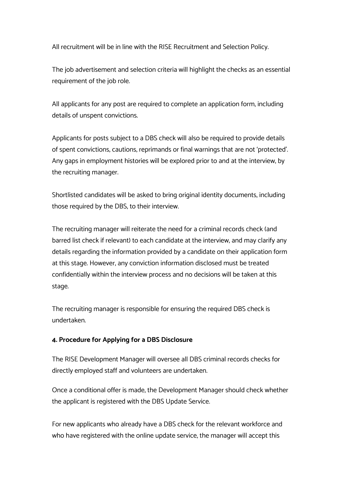All recruitment will be in line with the RISE Recruitment and Selection Policy.

The job advertisement and selection criteria will highlight the checks as an essential requirement of the job role.

All applicants for any post are required to complete an application form, including details of unspent convictions.

Applicants for posts subject to a DBS check will also be required to provide details of spent convictions, cautions, reprimands or final warnings that are not 'protected'. Any gaps in employment histories will be explored prior to and at the interview, by the recruiting manager.

Shortlisted candidates will be asked to bring original identity documents, including those required by the DBS, to their interview.

The recruiting manager will reiterate the need for a criminal records check (and barred list check if relevant) to each candidate at the interview, and may clarify any details regarding the information provided by a candidate on their application form at this stage. However, any conviction information disclosed must be treated confidentially within the interview process and no decisions will be taken at this stage.

The recruiting manager is responsible for ensuring the required DBS check is undertaken.

### **4. Procedure for Applying for a DBS Disclosure**

The RISE Development Manager will oversee all DBS criminal records checks for directly employed staff and volunteers are undertaken.

Once a conditional offer is made, the Development Manager should check whether the applicant is registered with the DBS Update Service.

For new applicants who already have a DBS check for the relevant workforce and who have registered with the online update service, the manager will accept this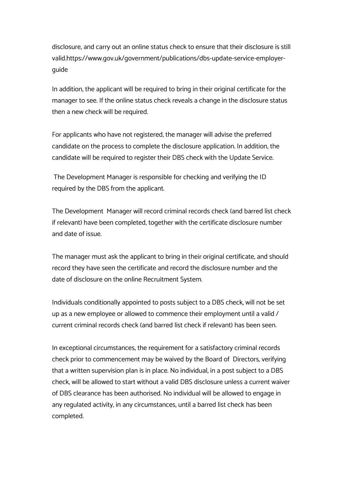disclosure, and carry out an online status check to ensure that their disclosure is still valid.https://www.gov.uk/government/publications/dbs-update-service-employerguide

In addition, the applicant will be required to bring in their original certificate for the manager to see. If the online status check reveals a change in the disclosure status then a new check will be required.

For applicants who have not registered, the manager will advise the preferred candidate on the process to complete the disclosure application. In addition, the candidate will be required to register their DBS check with the Update Service.

The Development Manager is responsible for checking and verifying the ID required by the DBS from the applicant.

The Development Manager will record criminal records check (and barred list check if relevant) have been completed, together with the certificate disclosure number and date of issue.

The manager must ask the applicant to bring in their original certificate, and should record they have seen the certificate and record the disclosure number and the date of disclosure on the online Recruitment System.

Individuals conditionally appointed to posts subject to a DBS check, will not be set up as a new employee or allowed to commence their employment until a valid / current criminal records check (and barred list check if relevant) has been seen.

In exceptional circumstances, the requirement for a satisfactory criminal records check prior to commencement may be waived by the Board of Directors, verifying that a written supervision plan is in place. No individual, in a post subject to a DBS check, will be allowed to start without a valid DBS disclosure unless a current waiver of DBS clearance has been authorised. No individual will be allowed to engage in any regulated activity, in any circumstances, until a barred list check has been completed.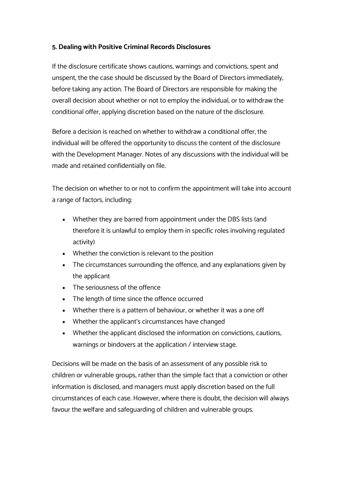# **5. Dealing with Positive Criminal Records Disclosures**

If the disclosure certificate shows cautions, warnings and convictions, spent and unspent, the the case should be discussed by the Board of Directors immediately, before taking any action. The Board of Directors are responsible for making the overall decision about whether or not to employ the individual, or to withdraw the conditional offer, applying discretion based on the nature of the disclosure.

Before a decision is reached on whether to withdraw a conditional offer, the individual will be offered the opportunity to discuss the content of the disclosure with the Development Manager. Notes of any discussions with the individual will be made and retained confidentially on file.

The decision on whether to or not to confirm the appointment will take into account a range of factors, including:

- Whether they are barred from appointment under the DBS lists (and therefore it is unlawful to employ them in specific roles involving regulated activity)
- Whether the conviction is relevant to the position
- The circumstances surrounding the offence, and any explanations given by the applicant
- The seriousness of the offence
- The length of time since the offence occurred
- Whether there is a pattern of behaviour, or whether it was a one off
- Whether the applicant's circumstances have changed
- Whether the applicant disclosed the information on convictions, cautions, warnings or bindovers at the application / interview stage.

Decisions will be made on the basis of an assessment of any possible risk to children or vulnerable groups, rather than the simple fact that a conviction or other information is disclosed, and managers must apply discretion based on the full circumstances of each case. However, where there is doubt, the decision will always favour the welfare and safeguarding of children and vulnerable groups.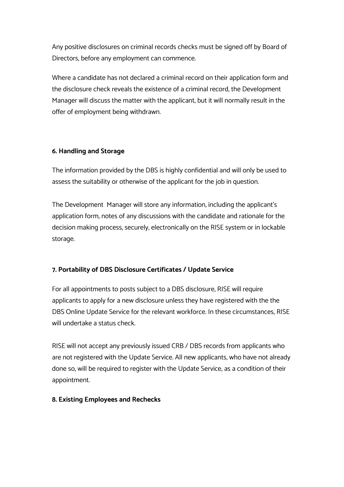Any positive disclosures on criminal records checks must be signed off by Board of Directors, before any employment can commence.

Where a candidate has not declared a criminal record on their application form and the disclosure check reveals the existence of a criminal record, the Development Manager will discuss the matter with the applicant, but it will normally result in the offer of employment being withdrawn.

# **6. Handling and Storage**

The information provided by the DBS is highly confidential and will only be used to assess the suitability or otherwise of the applicant for the job in question.

The Development Manager will store any information, including the applicant's application form, notes of any discussions with the candidate and rationale for the decision making process, securely, electronically on the RISE system or in lockable storage.

# **7. Portability of DBS Disclosure Certificates / Update Service**

For all appointments to posts subject to a DBS disclosure, RISE will require applicants to apply for a new disclosure unless they have registered with the the DBS Online Update Service for the relevant workforce. In these circumstances, RISE will undertake a status check.

RISE will not accept any previously issued CRB / DBS records from applicants who are not registered with the Update Service. All new applicants, who have not already done so, will be required to register with the Update Service, as a condition of their appointment.

# **8. Existing Employees and Rechecks**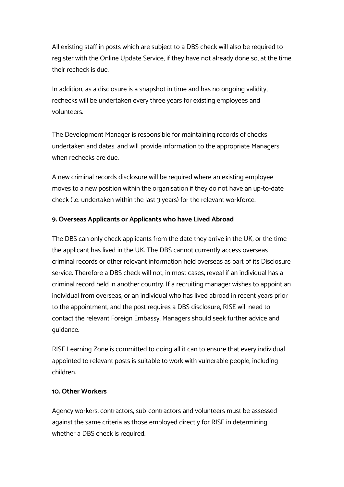All existing staff in posts which are subject to a DBS check will also be required to register with the Online Update Service, if they have not already done so, at the time their recheck is due.

In addition, as a disclosure is a snapshot in time and has no ongoing validity, rechecks will be undertaken every three years for existing employees and volunteers.

The Development Manager is responsible for maintaining records of checks undertaken and dates, and will provide information to the appropriate Managers when rechecks are due.

A new criminal records disclosure will be required where an existing employee moves to a new position within the organisation if they do not have an up-to-date check (i.e. undertaken within the last 3 years) for the relevant workforce.

### **9. Overseas Applicants or Applicants who have Lived Abroad**

The DBS can only check applicants from the date they arrive in the UK, or the time the applicant has lived in the UK. The DBS cannot currently access overseas criminal records or other relevant information held overseas as part of its Disclosure service. Therefore a DBS check will not, in most cases, reveal if an individual has a criminal record held in another country. If a recruiting manager wishes to appoint an individual from overseas, or an individual who has lived abroad in recent years prior to the appointment, and the post requires a DBS disclosure, RISE will need to contact the relevant Foreign Embassy. Managers should seek further advice and guidance.

RISE Learning Zone is committed to doing all it can to ensure that every individual appointed to relevant posts is suitable to work with vulnerable people, including children.

#### **10. Other Workers**

Agency workers, contractors, sub-contractors and volunteers must be assessed against the same criteria as those employed directly for RISE in determining whether a DBS check is required.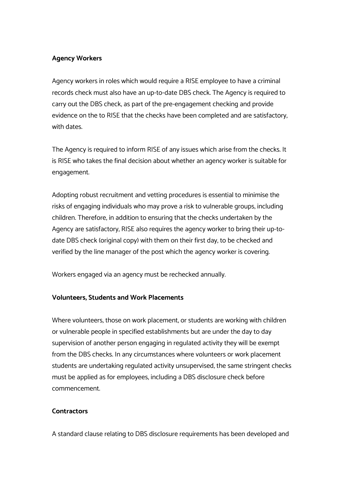# **Agency Workers**

Agency workers in roles which would require a RISE employee to have a criminal records check must also have an up-to-date DBS check. The Agency is required to carry out the DBS check, as part of the pre-engagement checking and provide evidence on the to RISE that the checks have been completed and are satisfactory, with dates.

The Agency is required to inform RISE of any issues which arise from the checks. It is RISE who takes the final decision about whether an agency worker is suitable for engagement.

Adopting robust recruitment and vetting procedures is essential to minimise the risks of engaging individuals who may prove a risk to vulnerable groups, including children. Therefore, in addition to ensuring that the checks undertaken by the Agency are satisfactory, RISE also requires the agency worker to bring their up-todate DBS check (original copy) with them on their first day, to be checked and verified by the line manager of the post which the agency worker is covering.

Workers engaged via an agency must be rechecked annually.

### **Volunteers, Students and Work Placements**

Where volunteers, those on work placement, or students are working with children or vulnerable people in specified establishments but are under the day to day supervision of another person engaging in regulated activity they will be exempt from the DBS checks. In any circumstances where volunteers or work placement students are undertaking regulated activity unsupervised, the same stringent checks must be applied as for employees, including a DBS disclosure check before commencement.

### **Contractors**

A standard clause relating to DBS disclosure requirements has been developed and